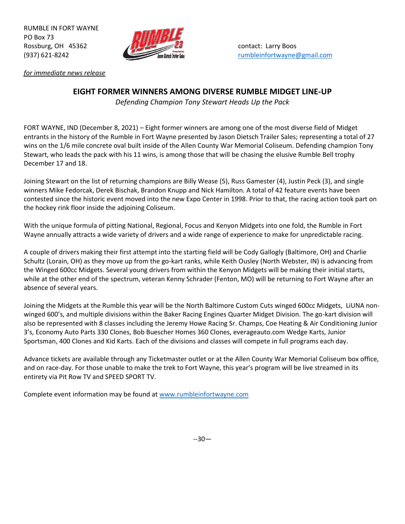RUMBLE IN FORT WAYNE PO Box 73 Rossburg, OH 45362 **Contact: Larry Boos** contact: Larry Boos



(937) 621-8242 [rumbleinfortwayne@gmail.com](mailto:rumbleinfortwayne@gmail.com)

*for immediate news release*

## **EIGHT FORMER WINNERS AMONG DIVERSE RUMBLE MIDGET LINE-UP**

*Defending Champion Tony Stewart Heads Up the Pack*

FORT WAYNE, IND (December 8, 2021) – Eight former winners are among one of the most diverse field of Midget entrants in the history of the Rumble in Fort Wayne presented by Jason Dietsch Trailer Sales; representing a total of 27 wins on the 1/6 mile concrete oval built inside of the Allen County War Memorial Coliseum. Defending champion Tony Stewart, who leads the pack with his 11 wins, is among those that will be chasing the elusive Rumble Bell trophy December 17 and 18.

Joining Stewart on the list of returning champions are Billy Wease (5), Russ Gamester (4), Justin Peck (3), and single winners Mike Fedorcak, Derek Bischak, Brandon Knupp and Nick Hamilton. A total of 42 feature events have been contested since the historic event moved into the new Expo Center in 1998. Prior to that, the racing action took part on the hockey rink floor inside the adjoining Coliseum.

With the unique formula of pitting National, Regional, Focus and Kenyon Midgets into one fold, the Rumble in Fort Wayne annually attracts a wide variety of drivers and a wide range of experience to make for unpredictable racing.

A couple of drivers making their first attempt into the starting field will be Cody Gallogly (Baltimore, OH) and Charlie Schultz (Lorain, OH) as they move up from the go-kart ranks, while Keith Ousley (North Webster, IN) is advancing from the Winged 600cc Midgets. Several young drivers from within the Kenyon Midgets will be making their initial starts, while at the other end of the spectrum, veteran Kenny Schrader (Fenton, MO) will be returning to Fort Wayne after an absence of several years.

Joining the Midgets at the Rumble this year will be the North Baltimore Custom Cuts winged 600cc Midgets, LiUNA nonwinged 600's, and multiple divisions within the Baker Racing Engines Quarter Midget Division. The go-kart division will also be represented with 8 classes including the Jeremy Howe Racing Sr. Champs, Coe Heating & Air Conditioning Junior 3's, Economy Auto Parts 330 Clones, Bob Buescher Homes 360 Clones, everageauto.com Wedge Karts, Junior Sportsman, 400 Clones and Kid Karts. Each of the divisions and classes will compete in full programs each day.

Advance tickets are available through any Ticketmaster outlet or at the Allen County War Memorial Coliseum box office, and on race-day. For those unable to make the trek to Fort Wayne, this year's program will be live streamed in its entirety via Pit Row TV and SPEED SPORT TV.

Complete event information may be found at [www.rumbleinfortwayne.com](http://www.rumbleinfortwayne.com/)